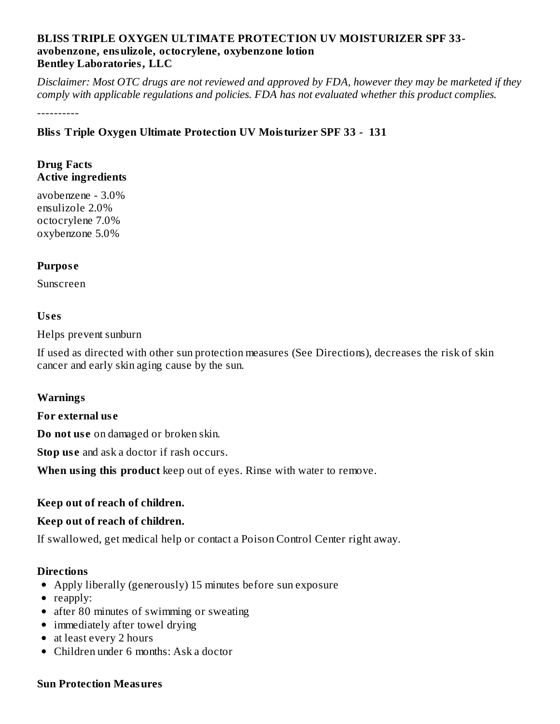## **BLISS TRIPLE OXYGEN ULTIMATE PROTECTION UV MOISTURIZER SPF 33 avobenzone, ensulizole, octocrylene, oxybenzone lotion Bentley Laboratories, LLC**

Disclaimer: Most OTC drugs are not reviewed and approved by FDA, however they may be marketed if they *comply with applicable regulations and policies. FDA has not evaluated whether this product complies.*

----------

## **Bliss Triple Oxygen Ultimate Protection UV Moisturizer SPF 33 - 131**

### **Drug Facts Active ingredients**

avobenzene - 3.0% ensulizole 2.0% octocrylene 7.0% oxybenzone 5.0%

## **Purpos e**

Sunscreen

#### **Us es**

Helps prevent sunburn

If used as directed with other sun protection measures (See Directions), decreases the risk of skin cancer and early skin aging cause by the sun.

#### **Warnings**

#### **For external us e**

**Do not us e** on damaged or broken skin.

**Stop use** and ask a doctor if rash occurs.

**When using this product** keep out of eyes. Rinse with water to remove.

## **Keep out of reach of children.**

## **Keep out of reach of children.**

If swallowed, get medical help or contact a Poison Control Center right away.

#### **Directions**

- Apply liberally (generously) 15 minutes before sun exposure
- reapply:
- after 80 minutes of swimming or sweating
- immediately after towel drying
- at least every 2 hours
- Children under 6 months: Ask a doctor

#### **Sun Protection Measures**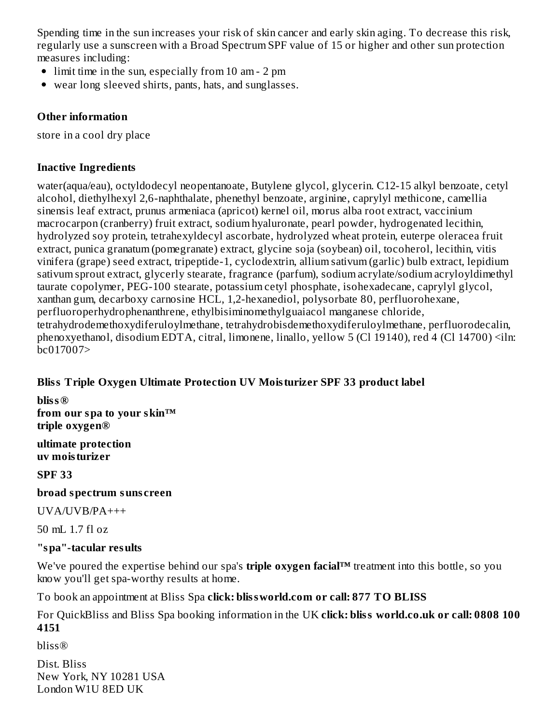Spending time in the sun increases your risk of skin cancer and early skin aging. To decrease this risk, regularly use a sunscreen with a Broad Spectrum SPF value of 15 or higher and other sun protection measures including:

- limit time in the sun, especially from 10 am 2 pm
- wear long sleeved shirts, pants, hats, and sunglasses.

## **Other information**

store in a cool dry place

## **Inactive Ingredients**

water(aqua/eau), octyldodecyl neopentanoate, Butylene glycol, glycerin. C12-15 alkyl benzoate, cetyl alcohol, diethylhexyl 2,6-naphthalate, phenethyl benzoate, arginine, caprylyl methicone, camellia sinensis leaf extract, prunus armeniaca (apricot) kernel oil, morus alba root extract, vaccinium macrocarpon (cranberry) fruit extract, sodium hyaluronate, pearl powder, hydrogenated lecithin, hydrolyzed soy protein, tetrahexyldecyl ascorbate, hydrolyzed wheat protein, euterpe oleracea fruit extract, punica granatum (pomegranate) extract, glycine soja (soybean) oil, tocoherol, lecithin, vitis vinifera (grape) seed extract, tripeptide-1, cyclodextrin, allium sativum (garlic) bulb extract, lepidium sativum sprout extract, glycerly stearate, fragrance (parfum), sodium acrylate/sodium acryloyldimethyl taurate copolymer, PEG-100 stearate, potassium cetyl phosphate, isohexadecane, caprylyl glycol, xanthan gum, decarboxy carnosine HCL, 1,2-hexanediol, polysorbate 80, perfluorohexane, perfluoroperhydrophenanthrene, ethylbisiminomethylguaiacol manganese chloride, tetrahydrodemethoxydiferuloylmethane, tetrahydrobisdemethoxydiferuloylmethane, perfluorodecalin, phenoxyethanol, disodium EDTA, citral, limonene, linallo, yellow 5 (Cl 19140), red 4 (Cl 14700) <iln: bc017007>

## **Bliss Triple Oxygen Ultimate Protection UV Moisturizer SPF 33 product label**

**bliss® from our spa to your skin™ triple oxygen®**

**ultimate protection uv moisturizer**

**SPF 33**

## **broad spectrum suns creen**

UVA/UVB/PA+++

50 mL 1.7 fl oz

## **"spa"-tacular results**

We've poured the expertise behind our spa's **triple oxygen facial™** treatment into this bottle, so you know you'll get spa-worthy results at home.

To book an appointment at Bliss Spa **click: blissworld.com or call: 877 TO BLISS**

For QuickBliss and Bliss Spa booking information in the UK **click: bliss world.co.uk or call: 0808 100 4151**

bliss®

Dist. Bliss New York, NY 10281 USA London W1U 8ED UK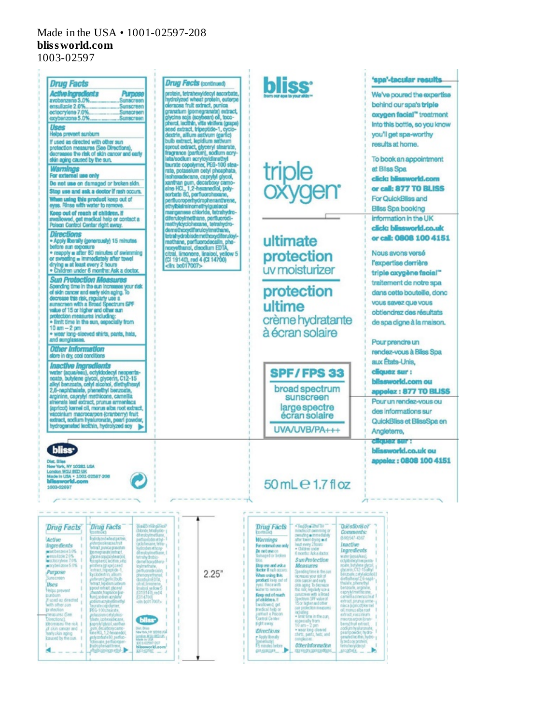# Made in the USA • 1001-02597-208 **blissworld.com**

1003-02597

×.



LEUROGER<sub>.</sub>

stopbels.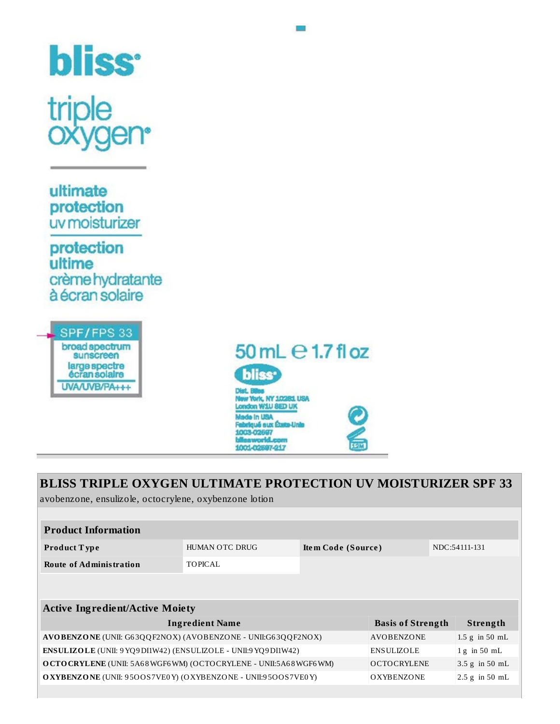

sunscreen large spectre écran solaire UVA/UVB/PA+++



L.

| <b>BLISS TRIPLE OXYGEN ULTIMATE PROTECTION UV MOISTURIZER SPF 33</b><br>avobenzone, ensulizole, octocrylene, oxybenzone lotion |                       |                    |                          |  |                    |
|--------------------------------------------------------------------------------------------------------------------------------|-----------------------|--------------------|--------------------------|--|--------------------|
|                                                                                                                                |                       |                    |                          |  |                    |
| <b>Product Information</b>                                                                                                     |                       |                    |                          |  |                    |
| <b>Product Type</b>                                                                                                            | <b>HUMAN OTC DRUG</b> | Item Code (Source) |                          |  | NDC:54111-131      |
| <b>Route of Administration</b>                                                                                                 | TOPICAL               |                    |                          |  |                    |
|                                                                                                                                |                       |                    |                          |  |                    |
|                                                                                                                                |                       |                    |                          |  |                    |
| <b>Active Ingredient/Active Moiety</b>                                                                                         |                       |                    |                          |  |                    |
| <b>Ingredient Name</b>                                                                                                         |                       |                    | <b>Basis of Strength</b> |  | Strength           |
| AVOBENZONE (UNII: G63QQF2NOX) (AVOBENZONE - UNII:G63QQF2NOX)                                                                   |                       |                    | <b>AVOBENZONE</b>        |  | $1.5$ g in $50$ mL |
| ENSULIZOLE (UNII: 9 YQ9 DI1W42) (ENSULIZOLE - UNII: 9 YQ9 DI1W42)                                                              |                       |                    | <b>ENSULIZOLE</b>        |  | $1 g$ in 50 mL     |
| OCTOCRYLENE (UNII: 5A68WGF6WM) (OCTOCRYLENE - UNII:5A68WGF6WM)                                                                 |                       |                    | <b>OCTOCRYLENE</b>       |  | 3.5 g in 50 mL     |
| <b>OXYBENZONE</b> (UNII: 9500S7VE0Y) (OXYBENZONE - UNII:9500S7VE0Y)<br><b>OXYBENZONE</b><br>$2.5$ g in $50$ mL                 |                       |                    |                          |  |                    |
|                                                                                                                                |                       |                    |                          |  |                    |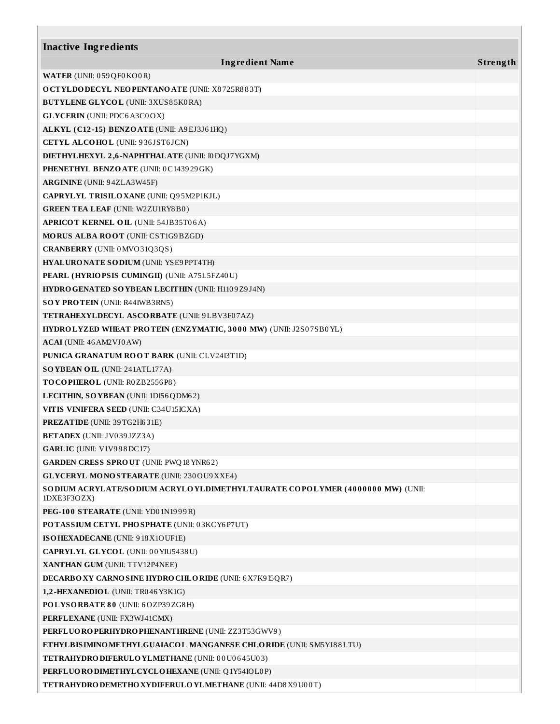| <b>Inactive Ingredients</b>                                                                    |          |
|------------------------------------------------------------------------------------------------|----------|
| <b>Ingredient Name</b>                                                                         | Strength |
|                                                                                                |          |
| <b>WATER</b> (UNII: 059QF0KO0R)                                                                |          |
| <b>OCTYLDODECYL NEOPENTANOATE (UNII: X8725R883T)</b>                                           |          |
| <b>BUTYLENE GLYCOL (UNII: 3XUS85K0RA)</b>                                                      |          |
| <b>GLYCERIN</b> (UNII: PDC6A3C0OX)                                                             |          |
| ALKYL (C12-15) BENZOATE (UNII: A9EJ3J61HQ)                                                     |          |
| <b>CETYL ALCOHOL</b> (UNII: 936JST6JCN)                                                        |          |
| DIETHYLHEXYL 2,6-NAPHTHALATE (UNII: I0DQJ7YGXM)                                                |          |
| PHENETHYL BENZOATE (UNII: 0C143929GK)                                                          |          |
| <b>ARGININE</b> (UNII: 94ZLA3W45F)                                                             |          |
| CAPRYLYL TRISILO XANE (UNII: Q95M2P1KJL)                                                       |          |
| <b>GREEN TEA LEAF (UNII: W2ZU1RY8B0)</b>                                                       |          |
| <b>APRICOT KERNEL OIL (UNII: 54JB35T06A)</b>                                                   |          |
| MORUS ALBA ROOT (UNII: CST1G9BZGD)                                                             |          |
| <b>CRANBERRY</b> (UNII: 0MVO31Q3QS)                                                            |          |
| HYALURONATE SODIUM (UNII: YSE9 PPT4TH)                                                         |          |
| PEARL (HYRIOPSIS CUMINGII) (UNII: A75L5FZ40U)                                                  |          |
| HYDRO GENATED SO YBEAN LECITHIN (UNII: H1109Z9J4N)                                             |          |
| SOY PROTEIN (UNII: R44IWB3RN5)                                                                 |          |
| TETRAHEXYLDECYL ASCORBATE (UNII: 9LBV3F07AZ)                                                   |          |
| HYDROLYZED WHEAT PROTEIN (ENZYMATIC, 3000 MW) (UNII: J2S07SB0YL)                               |          |
| ACAI (UNII: 46 AM2 VJ0 AW)                                                                     |          |
| <b>PUNICA GRANATUM ROOT BARK (UNII: CLV24I3T1D)</b>                                            |          |
| SOYBEAN OIL (UNII: 241ATL177A)                                                                 |          |
| TOCOPHEROL (UNII: R0ZB2556P8)                                                                  |          |
| LECITHIN, SO YBEAN (UNII: 1DI56QDM62)                                                          |          |
| VITIS VINIFERA SEED (UNII: C34U15ICXA)                                                         |          |
| <b>PREZATIDE</b> (UNII: 39TG2H631E)                                                            |          |
| <b>BETADEX</b> (UNII: JV039JZZ3A)                                                              |          |
| GARLIC (UNII: V1V998DC17)                                                                      |          |
| <b>GARDEN CRESS SPROUT (UNII: PWQ18 YNR62)</b>                                                 |          |
| <b>GLYCERYL MONOSTEARATE (UNII: 230 OU9 XXE4)</b>                                              |          |
| SO DIUM ACRYLATE/SO DIUM ACRYLO YLDIMETHYLTAURATE COPOLYMER (4000000 MW) (UNII:<br>1DXE3F3OZX) |          |
| PEG-100 STEARATE (UNII: YD01N1999R)                                                            |          |
| POTASSIUM CETYL PHOSPHATE (UNII: 03KCY6P7UT)                                                   |          |
| ISOHEXADECANE (UNII: 918X1OUF1E)                                                               |          |
| <b>CAPRYLYL GLYCOL</b> (UNII: 00 YIU5438U)                                                     |          |
| XANTHAN GUM (UNII: TTV12P4NEE)                                                                 |          |
| <b>DECARBO XY CARNO SINE HYDRO CHLO RIDE (UNII: 6 X7K9 I5QR7)</b>                              |          |
| 1,2-HEXANEDIOL (UNII: TR046 Y3K1G)                                                             |          |
| POLYSORBATE 80 (UNII: 6OZP39ZG8H)                                                              |          |
| PERFLEXANE (UNII: FX3WJ41CMX)                                                                  |          |
| PERFLUORO PERHYDRO PHENANTHRENE (UNII: ZZ3T53GWV9)                                             |          |
| ETHYLBISIMINO METHYLGUAIACOL MANGANESE CHLORIDE (UNII: SM5YJ88LTU)                             |          |
| <b>TETRAHYDRO DIFERULO YLMETHANE (UNII: 00U0645U03)</b>                                        |          |
| PERFLUORODIMETHYLCYCLOHEXANE (UNII: Q1Y54IOL0P)                                                |          |
| TETRAHYDRO DEMETHO XYDIFERULO YLMETHANE (UNII: 44D8 X9 U00T)                                   |          |